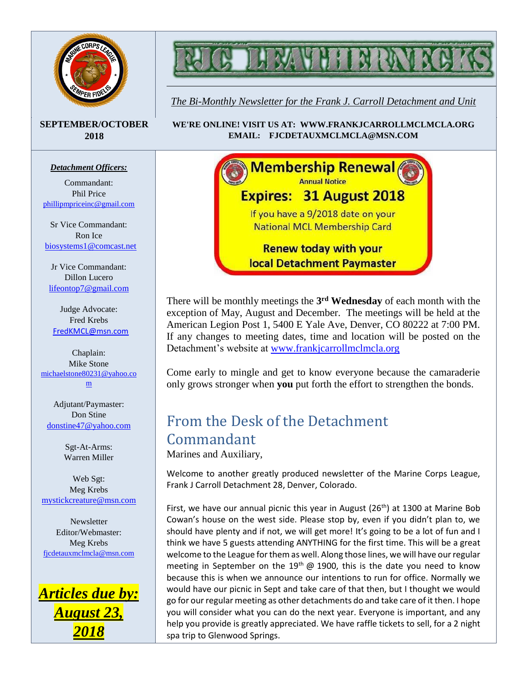



*The Bi-Monthly Newsletter for the Frank J. Carroll Detachment and Unit*

#### **SEPTEMBER/OCTOBER 2018**

#### *Detachment Officers:*

Commandant: Phil Price [phillipmpriceinc@gmail.com](mailto:phillipmpriceinc@gmail.com)

Sr Vice Commandant: Ron Ice [biosystems1@comcast.net](mailto:biosystems1@comcast.net)

Jr Vice Commandant: Dillon Lucero [lifeontop7@gmail.com](mailto:lifeontop7@gmail.com)

Judge Advocate: Fred Krebs [FredKMCL@msn.com](mailto:FredKMCL@msn.com)

Chaplain: Mike Stone [michaelstone80231@yahoo.co](mailto:michaelstone80231@yahoo.com) [m](mailto:michaelstone80231@yahoo.com)

Adjutant/Paymaster: Don Stine [donstine47@yahoo.com](mailto:donstine47@yahoo.com)

> Sgt-At-Arms: Warren Miller

Web Sgt: Meg Krebs [mystickcreature@msn.com](mailto:mystickcreature@msn.com)

**Newsletter** Editor/Webmaster: Meg Krebs [fjcdetauxmclmcla@msn.com](mailto:fjcdetauxmclmcla@msn.com)







There will be monthly meetings the **3 rd Wednesday** of each month with the exception of May, August and December. The meetings will be held at the American Legion Post 1, 5400 E Yale Ave, Denver, CO 80222 at 7:00 PM. If any changes to meeting dates, time and location will be posted on the Detachment's website at [www.frankjcarrollmclmcla.org](http://www.frankjcarrollmclmcla.org/)

Come early to mingle and get to know everyone because the camaraderie only grows stronger when **you** put forth the effort to strengthen the bonds.

# From the Desk of the Detachment Commandant

Marines and Auxiliary,

Welcome to another greatly produced newsletter of the Marine Corps League, Frank J Carroll Detachment 28, Denver, Colorado.

First, we have our annual picnic this year in August  $(26<sup>th</sup>)$  at 1300 at Marine Bob Cowan's house on the west side. Please stop by, even if you didn't plan to, we should have plenty and if not, we will get more! It's going to be a lot of fun and I think we have 5 guests attending ANYTHING for the first time. This will be a great welcome to the League for them as well. Along those lines, we will have our regular meeting in September on the  $19<sup>th</sup>$  @ 1900, this is the date you need to know because this is when we announce our intentions to run for office. Normally we would have our picnic in Sept and take care of that then, but I thought we would go for our regular meeting as other detachments do and take care of it then. I hope you will consider what you can do the next year. Everyone is important, and any help you provide is greatly appreciated. We have raffle tickets to sell, for a 2 night spa trip to Glenwood Springs.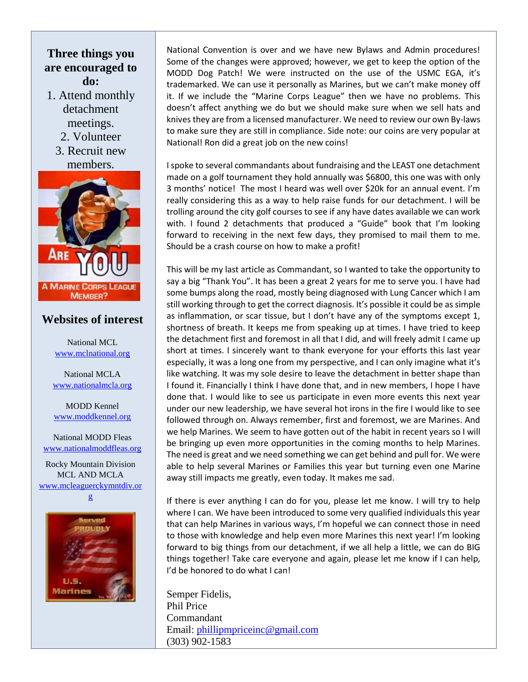#### **Three things you are encouraged to do:**

- 1. Attend monthly detachment meetings.
	- 2. Volunteer
	- 3. Recruit new members.



#### **Websites of interest**

National MCL [www.mclnational.org](http://www.mclnational.org/)

National MCLA [www.nationalmcla.org](http://www.nationalmcla.org/)

MODD Kennel [www.moddkennel.org](http://www.moddkennel.org/)

National MODD Fleas [www.nationalmoddfleas.org](http://www.nationalmoddfleas.org/)

Rocky Mountain Division MCL AND MCLA [www.mcleaguerckymntdiv.or](http://www.mcleaguerckymntdiv.org/)





National Convention is over and we have new Bylaws and Admin procedures! Some of the changes were approved; however, we get to keep the option of the MODD Dog Patch! We were instructed on the use of the USMC EGA, it's trademarked. We can use it personally as Marines, but we can't make money off it. If we include the "Marine Corps League" then we have no problems. This doesn't affect anything we do but we should make sure when we sell hats and knives they are from a licensed manufacturer. We need to review our own By-laws to make sure they are still in compliance. Side note: our coins are very popular at National! Ron did a great job on the new coins!

I spoke to several commandants about fundraising and the LEAST one detachment made on a golf tournament they hold annually was \$6800, this one was with only 3 months' notice! The most I heard was well over \$20k for an annual event. I'm really considering this as a way to help raise funds for our detachment. I will be trolling around the city golf courses to see if any have dates available we can work with. I found 2 detachments that produced a "Guide" book that I'm looking forward to receiving in the next few days, they promised to mail them to me. Should be a crash course on how to make a profit!

This will be my last article as Commandant, so I wanted to take the opportunity to say a big "Thank You". It has been a great 2 years for me to serve you. I have had some bumps along the road, mostly being diagnosed with Lung Cancer which I am still working through to get the correct diagnosis. It's possible it could be as simple as inflammation, or scar tissue, but I don't have any of the symptoms except 1, shortness of breath. It keeps me from speaking up at times. I have tried to keep the detachment first and foremost in all that I did, and will freely admit I came up short at times. I sincerely want to thank everyone for your efforts this last year especially, it was a long one from my perspective, and I can only imagine what it's like watching. It was my sole desire to leave the detachment in better shape than I found it. Financially I think I have done that, and in new members, I hope I have done that. I would like to see us participate in even more events this next year under our new leadership, we have several hot irons in the fire I would like to see followed through on. Always remember, first and foremost, we are Marines. And we help Marines. We seem to have gotten out of the habit in recent years so I will be bringing up even more opportunities in the coming months to help Marines. The need is great and we need something we can get behind and pull for. We were able to help several Marines or Families this year but turning even one Marine away still impacts me greatly, even today. It makes me sad.

If there is ever anything I can do for you, please let me know. I will try to help where I can. We have been introduced to some very qualified individuals this year that can help Marines in various ways, I'm hopeful we can connect those in need to those with knowledge and help even more Marines this next year! I'm looking forward to big things from our detachment, if we all help a little, we can do BIG things together! Take care everyone and again, please let me know if I can help, I'd be honored to do what I can!

Semper Fidelis, Phil Price Commandant Email: [phillipmpriceinc@gmail.com](mailto:phillipmpriceinc@gmail.com) (303) 902-1583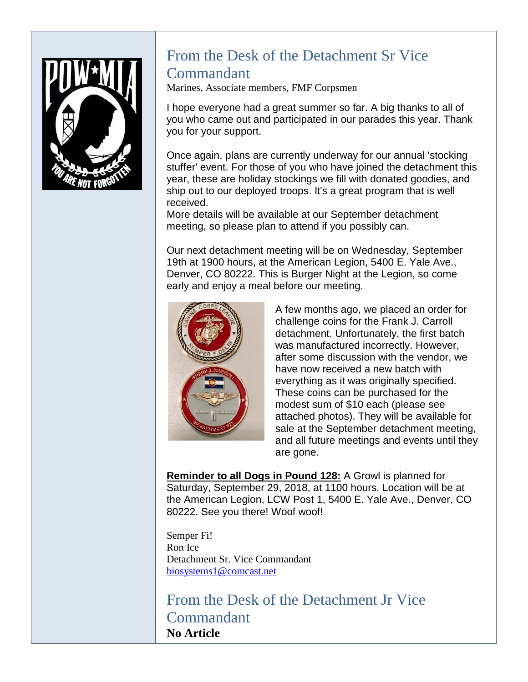

## From the Desk of the Detachment Sr Vice Commandant

Marines, Associate members, FMF Corpsmen

I hope everyone had a great summer so far. A big thanks to all of you who came out and participated in our parades this year. Thank you for your support.

Once again, plans are currently underway for our annual 'stocking stuffer' event. For those of you who have joined the detachment this year, these are holiday stockings we fill with donated goodies, and ship out to our deployed troops. It's a great program that is well received.

More details will be available at our September detachment meeting, so please plan to attend if you possibly can.

Our next detachment meeting will be on Wednesday, September 19th at 1900 hours, at the American Legion, 5400 E. Yale Ave., Denver, CO 80222. This is Burger Night at the Legion, so come early and enjoy a meal before our meeting.



A few months ago, we placed an order for challenge coins for the Frank J. Carroll detachment. Unfortunately, the first batch was manufactured incorrectly. However, after some discussion with the vendor, we have now received a new batch with everything as it was originally specified. These coins can be purchased for the modest sum of \$10 each (please see attached photos). They will be available for sale at the September detachment meeting, and all future meetings and events until they are gone.

**Reminder to all Dogs in Pound 128:** A Growl is planned for Saturday, September 29, 2018, at 1100 hours. Location will be at the American Legion, LCW Post 1, 5400 E. Yale Ave., Denver, CO 80222. See you there! Woof woof!

Semper Fi! Ron Ice Detachment Sr. Vice Commandant [biosystems1@comcast.net](mailto:biosystems1@comcast.net)

From the Desk of the Detachment Jr Vice **Commandant No Article**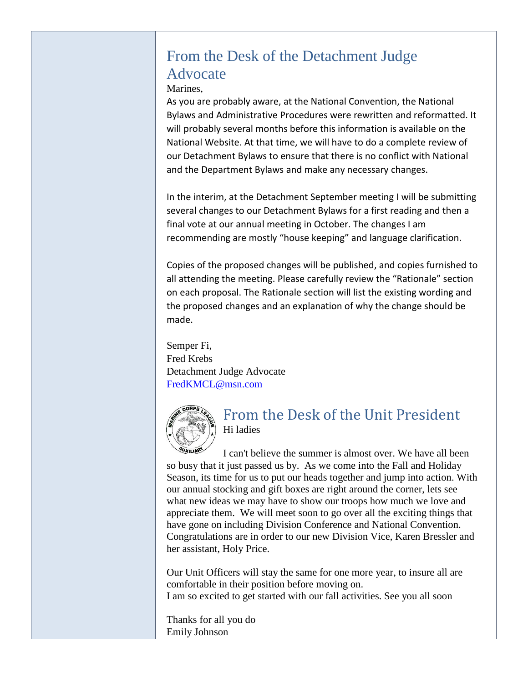# From the Desk of the Detachment Judge Advocate

Marines,

As you are probably aware, at the National Convention, the National Bylaws and Administrative Procedures were rewritten and reformatted. It will probably several months before this information is available on the National Website. At that time, we will have to do a complete review of our Detachment Bylaws to ensure that there is no conflict with National and the Department Bylaws and make any necessary changes.

In the interim, at the Detachment September meeting I will be submitting several changes to our Detachment Bylaws for a first reading and then a final vote at our annual meeting in October. The changes I am recommending are mostly "house keeping" and language clarification.

Copies of the proposed changes will be published, and copies furnished to all attending the meeting. Please carefully review the "Rationale" section on each proposal. The Rationale section will list the existing wording and the proposed changes and an explanation of why the change should be made.

Semper Fi, Fred Krebs Detachment Judge Advocate [FredKMCL@msn.com](mailto:FredKMCL@msn.com)



#### From the Desk of the Unit President Hi ladies

I can't believe the summer is almost over. We have all been so busy that it just passed us by. As we come into the Fall and Holiday Season, its time for us to put our heads together and jump into action. With our annual stocking and gift boxes are right around the corner, lets see what new ideas we may have to show our troops how much we love and appreciate them. We will meet soon to go over all the exciting things that have gone on including Division Conference and National Convention. Congratulations are in order to our new Division Vice, Karen Bressler and her assistant, Holy Price.

Our Unit Officers will stay the same for one more year, to insure all are comfortable in their position before moving on. I am so excited to get started with our fall activities. See you all soon

Thanks for all you do Emily Johnson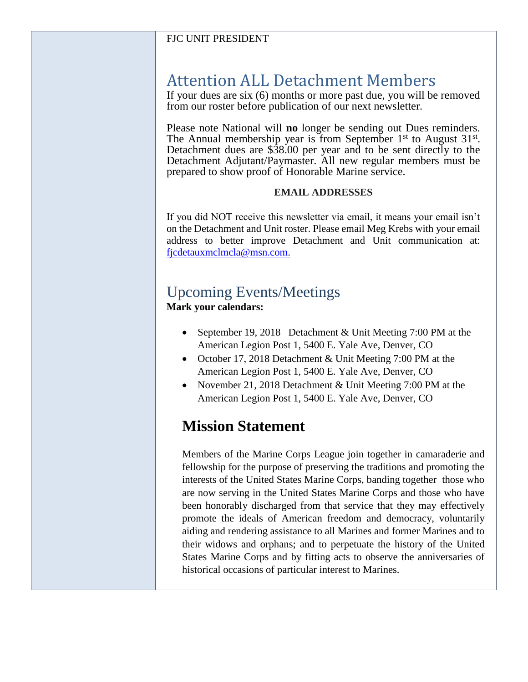#### FJC UNIT PRESIDENT

# Attention ALL Detachment Members

If your dues are six (6) months or more past due, you will be removed from our roster before publication of our next newsletter.

Please note National will **no** longer be sending out Dues reminders. The Annual membership year is from September  $1<sup>st</sup>$  to August  $31<sup>st</sup>$ . Detachment dues are \$38.00 per year and to be sent directly to the Detachment Adjutant/Paymaster. All new regular members must be prepared to show proof of Honorable Marine service.

#### **EMAIL ADDRESSES**

If you did NOT receive this newsletter via email, it means your email isn't on the Detachment and Unit roster. Please email Meg Krebs with your email address to better improve Detachment and Unit communication at: [fjcdetauxmclmcla@msn.com.](mailto:fjcdetauxmclmcla@msn.com)

# Upcoming Events/Meetings

**Mark your calendars:**

- September 19, 2018– Detachment & Unit Meeting 7:00 PM at the American Legion Post 1, 5400 E. Yale Ave, Denver, CO
- October 17, 2018 Detachment & Unit Meeting 7:00 PM at the American Legion Post 1, 5400 E. Yale Ave, Denver, CO
- November 21, 2018 Detachment & Unit Meeting 7:00 PM at the American Legion Post 1, 5400 E. Yale Ave, Denver, CO

### **Mission Statement**

Members of the Marine Corps League join together in camaraderie and fellowship for the purpose of preserving the traditions and promoting the interests of the United States Marine Corps, banding together those who are now serving in the United States Marine Corps and those who have been honorably discharged from that service that they may effectively promote the ideals of American freedom and democracy, voluntarily aiding and rendering assistance to all Marines and former Marines and to their widows and orphans; and to perpetuate the history of the United States Marine Corps and by fitting acts to observe the anniversaries of historical occasions of particular interest to Marines.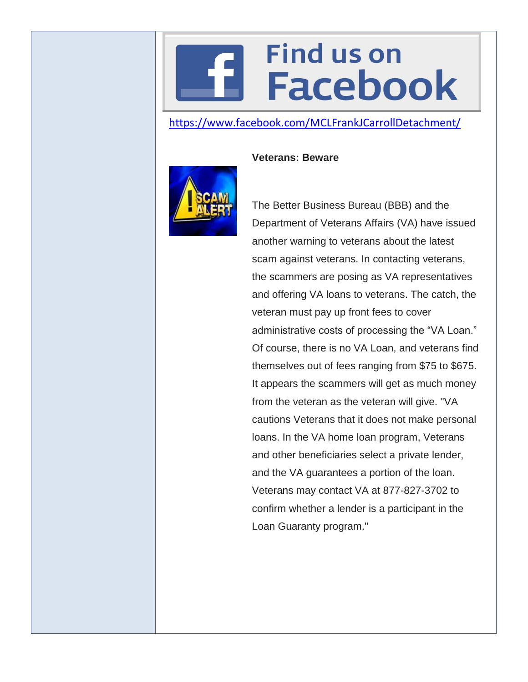# **Find us on Facebook**

#### <https://www.facebook.com/MCLFrankJCarrollDetachment/>



#### **Veterans: Beware**

The Better Business Bureau (BBB) and the Department of Veterans Affairs (VA) have issued another warning to veterans about the latest scam against veterans. In contacting veterans, the scammers are posing as VA representatives and offering VA loans to veterans. The catch, the veteran must pay up front fees to cover administrative costs of processing the "VA Loan." Of course, there is no VA Loan, and veterans find themselves out of fees ranging from \$75 to \$675. It appears the scammers will get as much money from the veteran as the veteran will give. "VA cautions Veterans that it does not make personal loans. In the VA home loan program, Veterans and other beneficiaries select a private lender, and the VA guarantees a portion of the loan. Veterans may contact VA at 877-827-3702 to confirm whether a lender is a participant in the Loan Guaranty program."